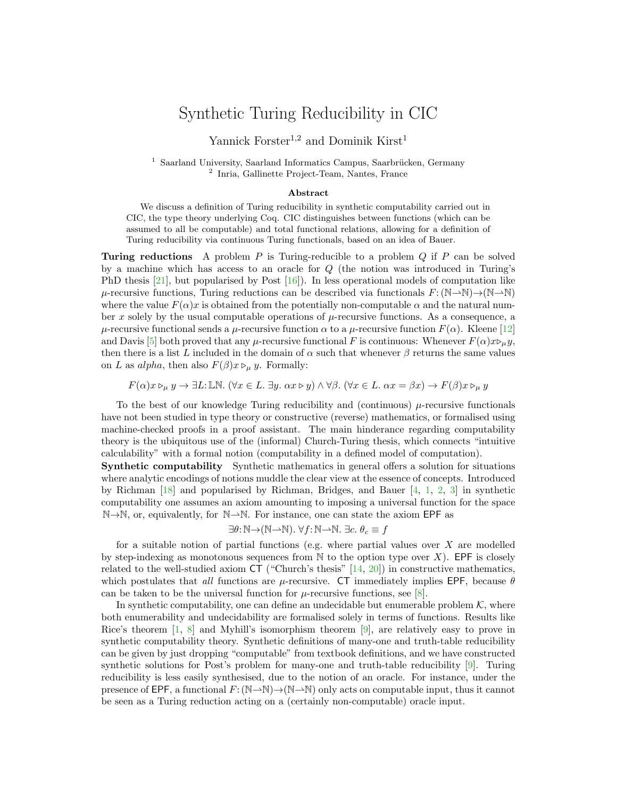## Synthetic Turing Reducibility in CIC

Yannick Forster<sup>1,2</sup> and Dominik Kirst<sup>1</sup>

 $1$  Saarland University, Saarland Informatics Campus, Saarbrücken, Germany 2 Inria, Gallinette Project-Team, Nantes, France

## Abstract

We discuss a definition of Turing reducibility in synthetic computability carried out in CIC, the type theory underlying Coq. CIC distinguishes between functions (which can be assumed to all be computable) and total functional relations, allowing for a definition of Turing reducibility via continuous Turing functionals, based on an idea of Bauer.

**Turing reductions** A problem P is Turing-reducible to a problem  $Q$  if P can be solved by a machine which has access to an oracle for Q (the notion was introduced in Turing's PhD thesis [\[21\]](#page-2-0), but popularised by Post [\[16\]](#page-2-1)). In less operational models of computation like  $\mu$ -recursive functions, Turing reductions can be described via functionals  $F: (\mathbb{N} \to \mathbb{N}) \to (\mathbb{N} \to \mathbb{N})$ where the value  $F(\alpha)x$  is obtained from the potentially non-computable  $\alpha$  and the natural number x solely by the usual computable operations of  $\mu$ -recursive functions. As a consequence, a  $\mu$ -recursive functional sends a  $\mu$ -recursive function  $\alpha$  to a  $\mu$ -recursive function  $F(\alpha)$ . Kleene [\[12\]](#page-2-2) and Davis [\[5\]](#page-2-3) both proved that any  $\mu$ -recursive functional F is continuous: Whenever  $F(\alpha)x\triangleright_{\mu} y$ , then there is a list L included in the domain of  $\alpha$  such that whenever  $\beta$  returns the same values on L as alpha, then also  $F(\beta)x \triangleright_{\mu} y$ . Formally:

$$
F(\alpha)x \rhd_{\mu} y \to \exists L: \mathbb{LN}. \ (\forall x \in L. \ \exists y. \ \alpha x \rhd y) \land \forall \beta. \ (\forall x \in L. \ \alpha x = \beta x) \to F(\beta)x \rhd_{\mu} y
$$

To the best of our knowledge Turing reducibility and (continuous)  $\mu$ -recursive functionals have not been studied in type theory or constructive (reverse) mathematics, or formalised using machine-checked proofs in a proof assistant. The main hinderance regarding computability theory is the ubiquitous use of the (informal) Church-Turing thesis, which connects "intuitive calculability" with a formal notion (computability in a defined model of computation).

Synthetic computability Synthetic mathematics in general offers a solution for situations where analytic encodings of notions muddle the clear view at the essence of concepts. Introduced by Richman [\[18\]](#page-2-4) and popularised by Richman, Bridges, and Bauer [\[4,](#page-2-5) [1,](#page-2-6) [2,](#page-2-7) [3\]](#page-2-8) in synthetic computability one assumes an axiom amounting to imposing a universal function for the space N→N, or, equivalently, for N→N. For instance, one can state the axiom EPF as

$$
\exists \theta \colon \mathbb{N} \to (\mathbb{N} \to \mathbb{N}). \; \forall f \colon \mathbb{N} \to \mathbb{N}. \; \exists c. \; \theta_c \equiv f
$$

for a suitable notion of partial functions (e.g. where partial values over  $X$  are modelled by step-indexing as monotonous sequences from  $\mathbb N$  to the option type over X). EPF is closely related to the well-studied axiom CT ("Church's thesis" [\[14,](#page-2-9) [20\]](#page-2-10)) in constructive mathematics, which postulates that all functions are  $\mu$ -recursive. CT immediately implies EPF, because  $\theta$ can be taken to be the universal function for  $\mu$ -recursive functions, see [\[8\]](#page-2-11).

In synthetic computability, one can define an undecidable but enumerable problem  $K$ , where both enumerability and undecidability are formalised solely in terms of functions. Results like Rice's theorem  $[1, 8]$  $[1, 8]$  $[1, 8]$  and Myhill's isomorphism theorem  $[9]$ , are relatively easy to prove in synthetic computability theory. Synthetic definitions of many-one and truth-table reducibility can be given by just dropping "computable" from textbook definitions, and we have constructed synthetic solutions for Post's problem for many-one and truth-table reducibility [\[9\]](#page-2-12). Turing reducibility is less easily synthesised, due to the notion of an oracle. For instance, under the presence of EPF, a functional  $F: (\mathbb{N} \rightarrow \mathbb{N}) \rightarrow (\mathbb{N} \rightarrow \mathbb{N})$  only acts on computable input, thus it cannot be seen as a Turing reduction acting on a (certainly non-computable) oracle input.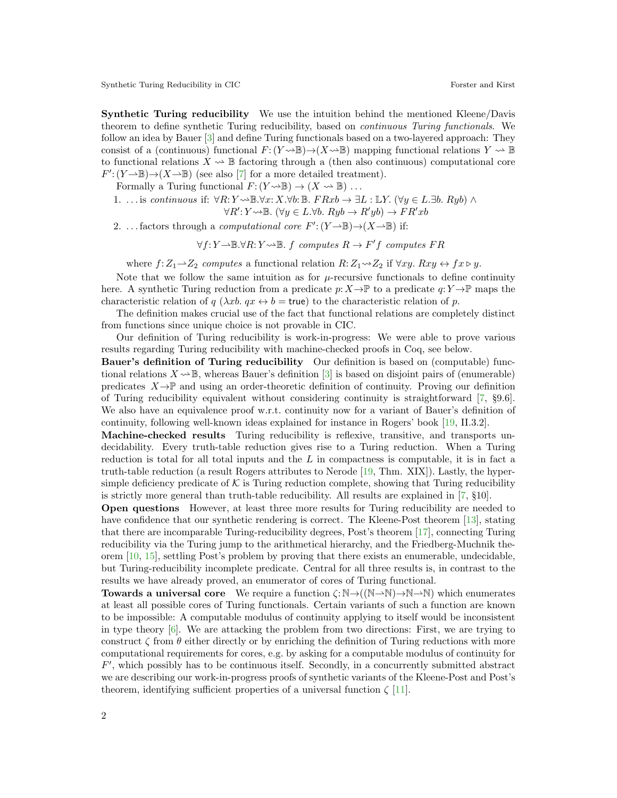Synthetic Turing Reducibility in CIC Forster and Kirst Forster and Kirst Forster and Kirst Forster and Kirst Forster and Kirst Forster and Kirst Forster and Kirst Forster and Kirst Forster and Kirst Forster and Kirst Forst

Synthetic Turing reducibility We use the intuition behind the mentioned Kleene/Davis theorem to define synthetic Turing reducibility, based on continuous Turing functionals. We follow an idea by Bauer [\[3\]](#page-2-8) and define Turing functionals based on a two-layered approach: They consist of a (continuous) functional  $F: (Y \rightsquigarrow \mathbb{B}) \rightarrow (X \rightsquigarrow \mathbb{B})$  mapping functional relations  $Y \rightsquigarrow \mathbb{B}$ to functional relations  $X \sim \mathbb{B}$  factoring through a (then also continuous) computational core  $F'(Y \rightarrow \mathbb{B}) \rightarrow (X \rightarrow \mathbb{B})$  (see also [\[7\]](#page-2-13) for a more detailed treatment).

Formally a Turing functional  $F: (Y \rightarrow \mathbb{B}) \rightarrow (X \rightarrow \mathbb{B}) \dots$ 

1. ... is continuous if:  $\forall R: Y \rightarrow \mathbb{B}. \forall x: X. \forall b: \mathbb{B}. \ FRxb \rightarrow \exists L: \mathbb{L}Y. (\forall y \in L. \exists b. \ Ryb) \land \exists L: \mathbb{C}. \exists b. \Box B. \Rightarrow \Box B. \Rightarrow \Box B. \Rightarrow \Box B. \Rightarrow \Box B. \Rightarrow \Box B. \Rightarrow \Box B. \Rightarrow \Box B. \Rightarrow \Box B. \Rightarrow \Box B. \Rightarrow \Box B. \Rightarrow \Box B. \Rightarrow \Box B. \Rightarrow \Box B. \Rightarrow \Box B. \Rightarrow \Box B. \Rightarrow \Box B. \Rightarrow \Box B. \Rightarrow \Box B. \Rightarrow \Box B$ 

$$
\forall R' : Y \rightsquigarrow \mathbb{B}. (\forall y \in L. \forall b. Ryb \rightarrow R'yb) \rightarrow FR'xb
$$

2. ... factors through a *computational core*  $F'(Y \to \mathbb{B}) \to (X \to \mathbb{B})$  if:

 $\forall f: Y \rightarrow \mathbb{B}.\forall R: Y \rightsquigarrow \mathbb{B}.$  f computes  $R \rightarrow F'f$  computes  $FR$ 

where  $f:Z_1 \rightarrow Z_2$  computes a functional relation  $R:Z_1 \rightarrow Z_2$  if  $\forall xy. Rxy \leftrightarrow fx \triangleright y$ .

Note that we follow the same intuition as for  $\mu$ -recursive functionals to define continuity here. A synthetic Turing reduction from a predicate  $p: X \to \mathbb{P}$  to a predicate  $q: Y \to \mathbb{P}$  maps the characteristic relation of q ( $\lambda x b$ .  $qx \leftrightarrow b = \text{true}$ ) to the characteristic relation of p.

The definition makes crucial use of the fact that functional relations are completely distinct from functions since unique choice is not provable in CIC.

Our definition of Turing reducibility is work-in-progress: We were able to prove various results regarding Turing reducibility with machine-checked proofs in Coq, see below.

Bauer's definition of Turing reducibility Our definition is based on (computable) functional relations  $X \sim \mathbb{B}$ , whereas Bauer's definition [\[3\]](#page-2-8) is based on disjoint pairs of (enumerable) predicates  $X \rightarrow \mathbb{P}$  and using an order-theoretic definition of continuity. Proving our definition of Turing reducibility equivalent without considering continuity is straightforward [\[7,](#page-2-13) §9.6]. We also have an equivalence proof w.r.t. continuity now for a variant of Bauer's definition of continuity, following well-known ideas explained for instance in Rogers' book [\[19,](#page-2-14) II.3.2].

Machine-checked results Turing reducibility is reflexive, transitive, and transports undecidability. Every truth-table reduction gives rise to a Turing reduction. When a Turing reduction is total for all total inputs and the  $L$  in compactness is computable, it is in fact a truth-table reduction (a result Rogers attributes to Nerode [\[19,](#page-2-14) Thm. XIX]). Lastly, the hypersimple deficiency predicate of  $K$  is Turing reduction complete, showing that Turing reducibility is strictly more general than truth-table reducibility. All results are explained in [\[7,](#page-2-13) §10].

Open questions However, at least three more results for Turing reducibility are needed to have confidence that our synthetic rendering is correct. The Kleene-Post theorem [\[13\]](#page-2-15), stating that there are incomparable Turing-reducibility degrees, Post's theorem [\[17\]](#page-2-16), connecting Turing reducibility via the Turing jump to the arithmetical hierarchy, and the Friedberg-Muchnik theorem [\[10,](#page-2-17) [15\]](#page-2-18), settling Post's problem by proving that there exists an enumerable, undecidable, but Turing-reducibility incomplete predicate. Central for all three results is, in contrast to the results we have already proved, an enumerator of cores of Turing functional.

**Towards a universal core** We require a function  $\zeta: \mathbb{N} \to ((\mathbb{N} \to \mathbb{N}) \to \mathbb{N} \to \mathbb{N})$  which enumerates at least all possible cores of Turing functionals. Certain variants of such a function are known to be impossible: A computable modulus of continuity applying to itself would be inconsistent in type theory  $[6]$ . We are attacking the problem from two directions: First, we are trying to construct  $\zeta$  from  $\theta$  either directly or by enriching the definition of Turing reductions with more computational requirements for cores, e.g. by asking for a computable modulus of continuity for  $F'$ , which possibly has to be continuous itself. Secondly, in a concurrently submitted abstract we are describing our work-in-progress proofs of synthetic variants of the Kleene-Post and Post's theorem, identifying sufficient properties of a universal function  $\zeta$  [\[11\]](#page-2-20).